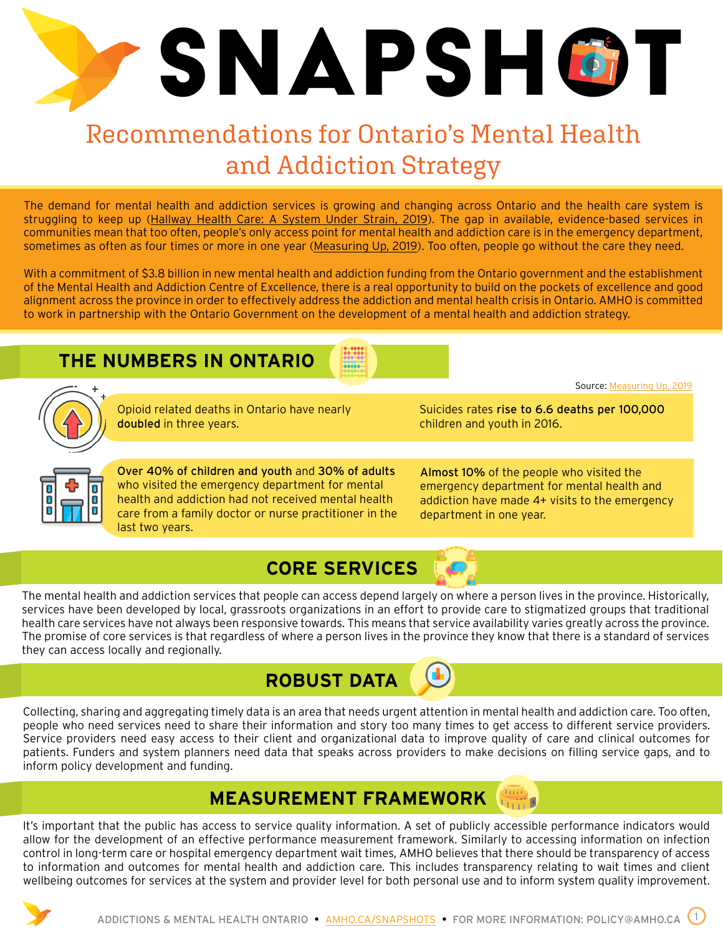# SNAPSHÖT

# Recommendations for Ontario's Mental Health and Addiction Strategy

The demand for mental health and addiction services is growing and changing across Ontario and the health care system is struggling to keep up ([Hallway Health Care: A System Under Strain, 2019](http://www.health.gov.on.ca/en/public/publications/premiers_council/docs/premiers_council_report.pdf)). The gap in available, evidence-based services in communities mean that too often, people's only access point for mental health and addiction care is in the emergency department, sometimes as often as four times or more in one year ([Measuring Up, 2019\)](https://hqontario.ca/Portals/0/Documents/pr/measuring-up-2019-en.pdf). Too often, people go without the care they need.

With a commitment of \$3.8 billion in new mental health and addiction funding from the Ontario government and the establishment of the Mental Health and Addiction Centre of Excellence, there is a real opportunity to build on the pockets of excellence and good alignment across the province in order to effectively address the addiction and mental health crisis in Ontario. AMHO is committed to work in partnership with the Ontario Government on the development of a mental health and addiction strategy.

#### **THE NUMBERS IN ONTARIO**





Opioid related deaths in Ontario have nearly doubled in three years.

Suicides rates rise to 6.6 deaths per 100,000 children and youth in 2016.

Source: [Measuring Up, 2019](https://hqontario.ca/Portals/0/Documents/pr/measuring-up-2019-en.pdf)



Over 40% of children and youth and 30% of adults who visited the emergency department for mental health and addiction had not received mental health care from a family doctor or nurse practitioner in the last two years.

Almost 10% of the people who visited the emergency department for mental health and addiction have made 4+ visits to the emergency department in one year.

### **CORE SERVICES**

The mental health and addiction services that people can access depend largely on where a person lives in the province. Historically, services have been developed by local, grassroots organizations in an effort to provide care to stigmatized groups that traditional health care services have not always been responsive towards. This means that service availability varies greatly across the province. The promise of core services is that regardless of where a person lives in the province they know that there is a standard of services they can access locally and regionally.



Collecting, sharing and aggregating timely data is an area that needs urgent attention in mental health and addiction care. Too often, people who need services need to share their information and story too many times to get access to different service providers. Service providers need easy access to their client and organizational data to improve quality of care and clinical outcomes for patients. Funders and system planners need data that speaks across providers to make decisions on filling service gaps, and to inform policy development and funding.

#### **MEASUREMENT FRAMEWORK**

It's important that the public has access to service quality information. A set of publicly accessible performance indicators would allow for the development of an effective performance measurement framework. Similarly to accessing information on infection control in long-term care or hospital emergency department wait times, AMHO believes that there should be transparency of access to information and outcomes for mental health and addiction care. This includes transparency relating to wait times and client wellbeing outcomes for services at the system and provider level for both personal use and to inform system quality improvement.